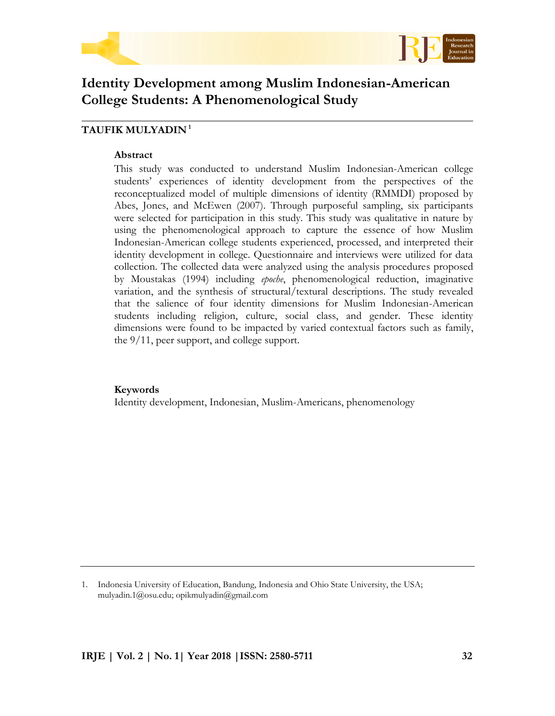



# **Identity Development among Muslim Indonesian-American College Students: A Phenomenological Study**

# **TAUFIK MULYADIN <sup>1</sup>**

#### **Abstract**

This study was conducted to understand Muslim Indonesian-American college students' experiences of identity development from the perspectives of the reconceptualized model of multiple dimensions of identity (RMMDI) proposed by Abes, Jones, and McEwen (2007). Through purposeful sampling, six participants were selected for participation in this study. This study was qualitative in nature by using the phenomenological approach to capture the essence of how Muslim Indonesian-American college students experienced, processed, and interpreted their identity development in college. Questionnaire and interviews were utilized for data collection. The collected data were analyzed using the analysis procedures proposed by Moustakas (1994) including *epoche*, phenomenological reduction, imaginative variation, and the synthesis of structural/textural descriptions. The study revealed that the salience of four identity dimensions for Muslim Indonesian-American students including religion, culture, social class, and gender. These identity dimensions were found to be impacted by varied contextual factors such as family, the 9/11, peer support, and college support.

## **Keywords**

Identity development, Indonesian, Muslim-Americans, phenomenology

1. Indonesia University of Education, Bandung, Indonesia and Ohio State University, the USA; mulyadin.1@osu.edu; opikmulyadin@gmail.com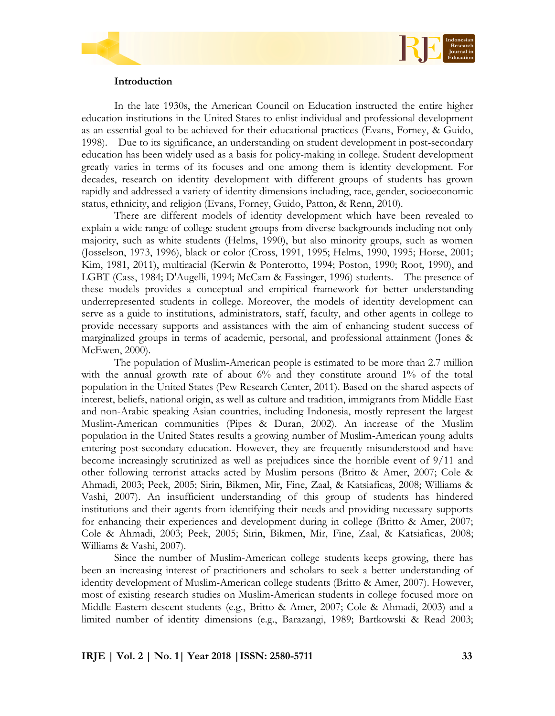



#### **Introduction**

In the late 1930s, the American Council on Education instructed the entire higher education institutions in the United States to enlist individual and professional development as an essential goal to be achieved for their educational practices (Evans, Forney, & Guido, 1998). Due to its significance, an understanding on student development in post-secondary education has been widely used as a basis for policy-making in college. Student development greatly varies in terms of its focuses and one among them is identity development. For decades, research on identity development with different groups of students has grown rapidly and addressed a variety of identity dimensions including, race, gender, socioeconomic status, ethnicity, and religion (Evans, Forney, Guido, Patton, & Renn, 2010).

There are different models of identity development which have been revealed to explain a wide range of college student groups from diverse backgrounds including not only majority, such as white students (Helms, 1990), but also minority groups, such as women (Josselson, 1973, 1996), black or color (Cross, 1991, 1995; Helms, 1990, 1995; Horse, 2001; Kim, 1981, 2011), multiracial (Kerwin & Ponterotto, 1994; Poston, 1990; Root, 1990), and LGBT (Cass, 1984; D'Augelli, 1994; McCam & Fassinger, 1996) students. The presence of these models provides a conceptual and empirical framework for better understanding underrepresented students in college. Moreover, the models of identity development can serve as a guide to institutions, administrators, staff, faculty, and other agents in college to provide necessary supports and assistances with the aim of enhancing student success of marginalized groups in terms of academic, personal, and professional attainment (Jones & McEwen, 2000).

The population of Muslim-American people is estimated to be more than 2.7 million with the annual growth rate of about 6% and they constitute around 1% of the total population in the United States (Pew Research Center, 2011). Based on the shared aspects of interest, beliefs, national origin, as well as culture and tradition, immigrants from Middle East and non-Arabic speaking Asian countries, including Indonesia, mostly represent the largest Muslim-American communities (Pipes & Duran, 2002). An increase of the Muslim population in the United States results a growing number of Muslim-American young adults entering post-secondary education. However, they are frequently misunderstood and have become increasingly scrutinized as well as prejudices since the horrible event of 9/11 and other following terrorist attacks acted by Muslim persons (Britto & Amer, 2007; Cole & Ahmadi, 2003; Peek, 2005; Sirin, Bikmen, Mir, Fine, Zaal, & Katsiaficas, 2008; Williams & Vashi, 2007). An insufficient understanding of this group of students has hindered institutions and their agents from identifying their needs and providing necessary supports for enhancing their experiences and development during in college (Britto & Amer, 2007; Cole & Ahmadi, 2003; Peek, 2005; Sirin, Bikmen, Mir, Fine, Zaal, & Katsiaficas, 2008; Williams & Vashi, 2007).

Since the number of Muslim-American college students keeps growing, there has been an increasing interest of practitioners and scholars to seek a better understanding of identity development of Muslim-American college students (Britto & Amer, 2007). However, most of existing research studies on Muslim-American students in college focused more on Middle Eastern descent students (e.g., Britto & Amer, 2007; Cole & Ahmadi, 2003) and a limited number of identity dimensions (e.g., Barazangi, 1989; Bartkowski & Read 2003;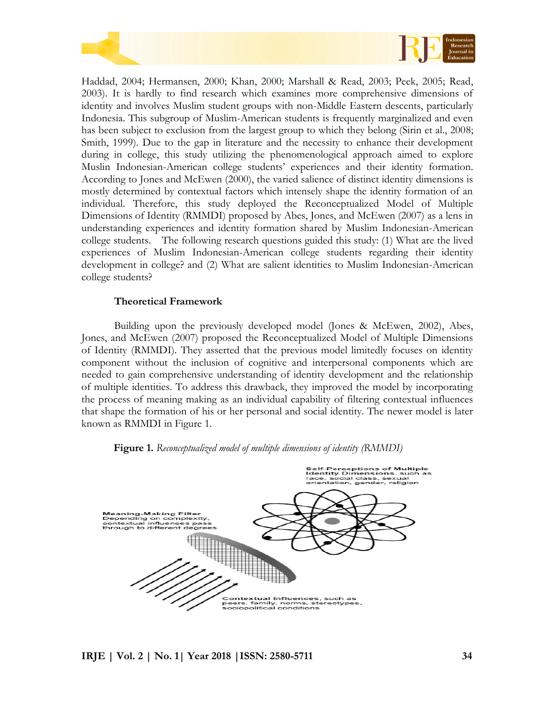



Haddad, 2004; Hermansen, 2000; Khan, 2000; Marshall & Read, 2003; Peek, 2005; Read, 2003). It is hardly to find research which examines more comprehensive dimensions of identity and involves Muslim student groups with non-Middle Eastern descents, particularly Indonesia. This subgroup of Muslim-American students is frequently marginalized and even has been subject to exclusion from the largest group to which they belong (Sirin et al., 2008; Smith, 1999). Due to the gap in literature and the necessity to enhance their development during in college, this study utilizing the phenomenological approach aimed to explore Muslin Indonesian-American college students' experiences and their identity formation. According to Jones and McEwen (2000), the varied salience of distinct identity dimensions is mostly determined by contextual factors which intensely shape the identity formation of an individual. Therefore, this study deployed the Reconceptualized Model of Multiple Dimensions of Identity (RMMDI) proposed by Abes, Jones, and McEwen (2007) as a lens in understanding experiences and identity formation shared by Muslim Indonesian-American college students. The following research questions guided this study: (1) What are the lived experiences of Muslim Indonesian-American college students regarding their identity development in college? and (2) What are salient identities to Muslim Indonesian-American college students?

## **Theoretical Framework**

Building upon the previously developed model (Jones & McEwen, 2002), Abes, Jones, and McEwen (2007) proposed the Reconceptualized Model of Multiple Dimensions of Identity (RMMDI). They asserted that the previous model limitedly focuses on identity component without the inclusion of cognitive and interpersonal components which are needed to gain comprehensive understanding of identity development and the relationship of multiple identities. To address this drawback, they improved the model by incorporating the process of meaning making as an individual capability of filtering contextual influences that shape the formation of his or her personal and social identity. The newer model is later known as RMMDI in Figure 1.



## **Figure 1.** *Reconceptualized model of multiple dimensions of identity (RMMDI)*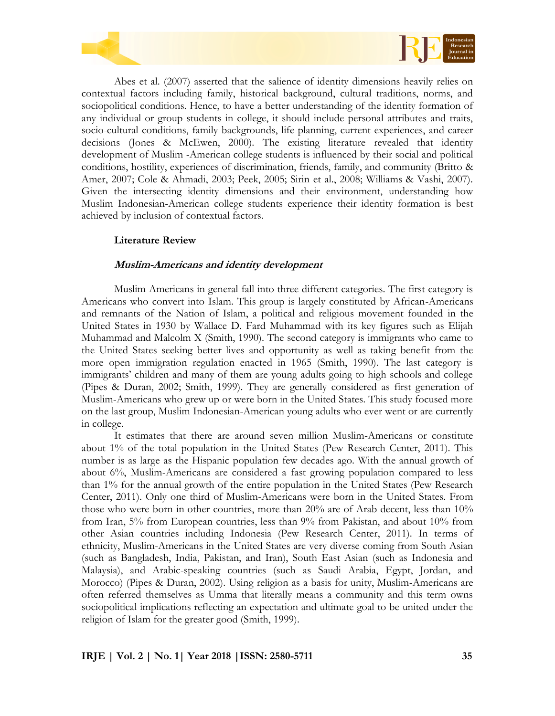



Abes et al. (2007) asserted that the salience of identity dimensions heavily relies on contextual factors including family, historical background, cultural traditions, norms, and sociopolitical conditions. Hence, to have a better understanding of the identity formation of any individual or group students in college, it should include personal attributes and traits, socio-cultural conditions, family backgrounds, life planning, current experiences, and career decisions (Jones & McEwen, 2000). The existing literature revealed that identity development of Muslim -American college students is influenced by their social and political conditions, hostility, experiences of discrimination, friends, family, and community (Britto & Amer, 2007; Cole & Ahmadi, 2003; Peek, 2005; Sirin et al., 2008; Williams & Vashi, 2007). Given the intersecting identity dimensions and their environment, understanding how Muslim Indonesian-American college students experience their identity formation is best achieved by inclusion of contextual factors.

## **Literature Review**

## **Muslim-Americans and identity development**

Muslim Americans in general fall into three different categories. The first category is Americans who convert into Islam. This group is largely constituted by African-Americans and remnants of the Nation of Islam, a political and religious movement founded in the United States in 1930 by Wallace D. Fard Muhammad with its key figures such as Elijah Muhammad and Malcolm X (Smith, 1990). The second category is immigrants who came to the United States seeking better lives and opportunity as well as taking benefit from the more open immigration regulation enacted in 1965 (Smith, 1990). The last category is immigrants' children and many of them are young adults going to high schools and college (Pipes & Duran, 2002; Smith, 1999). They are generally considered as first generation of Muslim-Americans who grew up or were born in the United States. This study focused more on the last group, Muslim Indonesian-American young adults who ever went or are currently in college.

It estimates that there are around seven million Muslim-Americans or constitute about 1% of the total population in the United States (Pew Research Center, 2011). This number is as large as the Hispanic population few decades ago. With the annual growth of about 6%, Muslim-Americans are considered a fast growing population compared to less than 1% for the annual growth of the entire population in the United States (Pew Research Center, 2011). Only one third of Muslim-Americans were born in the United States. From those who were born in other countries, more than 20% are of Arab decent, less than 10% from Iran, 5% from European countries, less than 9% from Pakistan, and about 10% from other Asian countries including Indonesia (Pew Research Center, 2011). In terms of ethnicity, Muslim-Americans in the United States are very diverse coming from South Asian (such as Bangladesh, India, Pakistan, and Iran), South East Asian (such as Indonesia and Malaysia), and Arabic-speaking countries (such as Saudi Arabia, Egypt, Jordan, and Morocco) (Pipes & Duran, 2002). Using religion as a basis for unity, Muslim-Americans are often referred themselves as Umma that literally means a community and this term owns sociopolitical implications reflecting an expectation and ultimate goal to be united under the religion of Islam for the greater good (Smith, 1999).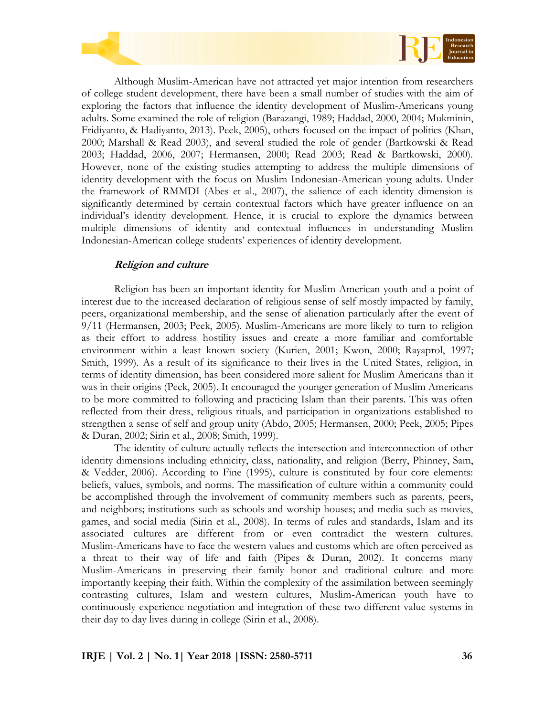



Although Muslim-American have not attracted yet major intention from researchers of college student development, there have been a small number of studies with the aim of exploring the factors that influence the identity development of Muslim-Americans young adults. Some examined the role of religion (Barazangi, 1989; Haddad, 2000, 2004; Mukminin, Fridiyanto, & Hadiyanto, 2013). Peek, 2005), others focused on the impact of politics (Khan, 2000; Marshall & Read 2003), and several studied the role of gender (Bartkowski & Read 2003; Haddad, 2006, 2007; Hermansen, 2000; Read 2003; Read & Bartkowski, 2000). However, none of the existing studies attempting to address the multiple dimensions of identity development with the focus on Muslim Indonesian-American young adults. Under the framework of RMMDI (Abes et al., 2007), the salience of each identity dimension is significantly determined by certain contextual factors which have greater influence on an individual's identity development. Hence, it is crucial to explore the dynamics between multiple dimensions of identity and contextual influences in understanding Muslim Indonesian-American college students' experiences of identity development.

## **Religion and culture**

Religion has been an important identity for Muslim-American youth and a point of interest due to the increased declaration of religious sense of self mostly impacted by family, peers, organizational membership, and the sense of alienation particularly after the event of 9/11 (Hermansen, 2003; Peek, 2005). Muslim-Americans are more likely to turn to religion as their effort to address hostility issues and create a more familiar and comfortable environment within a least known society (Kurien, 2001; Kwon, 2000; Rayaprol, 1997; Smith, 1999). As a result of its significance to their lives in the United States, religion, in terms of identity dimension, has been considered more salient for Muslim Americans than it was in their origins (Peek, 2005). It encouraged the younger generation of Muslim Americans to be more committed to following and practicing Islam than their parents. This was often reflected from their dress, religious rituals, and participation in organizations established to strengthen a sense of self and group unity (Abdo, 2005; Hermansen, 2000; Peek, 2005; Pipes & Duran, 2002; Sirin et al., 2008; Smith, 1999).

The identity of culture actually reflects the intersection and interconnection of other identity dimensions including ethnicity, class, nationality, and religion (Berry, Phinney, Sam, & Vedder, 2006). According to Fine (1995), culture is constituted by four core elements: beliefs, values, symbols, and norms. The massification of culture within a community could be accomplished through the involvement of community members such as parents, peers, and neighbors; institutions such as schools and worship houses; and media such as movies, games, and social media (Sirin et al., 2008). In terms of rules and standards, Islam and its associated cultures are different from or even contradict the western cultures. Muslim-Americans have to face the western values and customs which are often perceived as a threat to their way of life and faith (Pipes & Duran, 2002). It concerns many Muslim-Americans in preserving their family honor and traditional culture and more importantly keeping their faith. Within the complexity of the assimilation between seemingly contrasting cultures, Islam and western cultures, Muslim-American youth have to continuously experience negotiation and integration of these two different value systems in their day to day lives during in college (Sirin et al., 2008).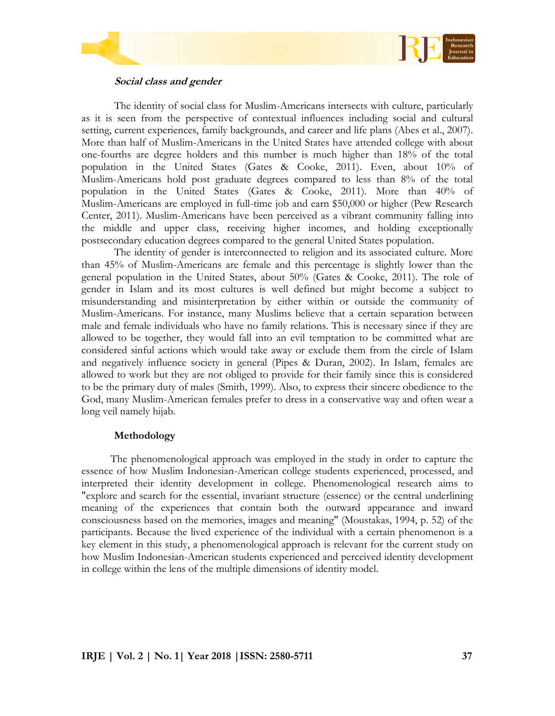



# **Social class and gender**

The identity of social class for Muslim-Americans intersects with culture, particularly as it is seen from the perspective of contextual influences including social and cultural setting, current experiences, family backgrounds, and career and life plans (Abes et al., 2007). More than half of Muslim-Americans in the United States have attended college with about one-fourths are degree holders and this number is much higher than 18% of the total population in the United States (Gates & Cooke, 2011). Even, about 10% of Muslim-Americans hold post graduate degrees compared to less than 8% of the total population in the United States (Gates & Cooke, 2011). More than 40% of Muslim-Americans are employed in full-time job and earn \$50,000 or higher (Pew Research Center, 2011). Muslim-Americans have been perceived as a vibrant community falling into the middle and upper class, receiving higher incomes, and holding exceptionally postsecondary education degrees compared to the general United States population.

The identity of gender is interconnected to religion and its associated culture. More than 45% of Muslim-Americans are female and this percentage is slightly lower than the general population in the United States, about 50% (Gates & Cooke, 2011). The role of gender in Islam and its most cultures is well defined but might become a subject to misunderstanding and misinterpretation by either within or outside the community of Muslim-Americans. For instance, many Muslims believe that a certain separation between male and female individuals who have no family relations. This is necessary since if they are allowed to be together, they would fall into an evil temptation to be committed what are considered sinful actions which would take away or exclude them from the circle of Islam and negatively influence society in general (Pipes & Duran, 2002). In Islam, females are allowed to work but they are not obliged to provide for their family since this is considered to be the primary duty of males (Smith, 1999). Also, to express their sincere obedience to the God, many Muslim-American females prefer to dress in a conservative way and often wear a long veil namely hijab.

# **Methodology**

The phenomenological approach was employed in the study in order to capture the essence of how Muslim Indonesian-American college students experienced, processed, and interpreted their identity development in college. Phenomenological research aims to "explore and search for the essential, invariant structure (essence) or the central underlining meaning of the experiences that contain both the outward appearance and inward consciousness based on the memories, images and meaning" (Moustakas, 1994, p. 52) of the participants. Because the lived experience of the individual with a certain phenomenon is a key element in this study, a phenomenological approach is relevant for the current study on how Muslim Indonesian-American students experienced and perceived identity development in college within the lens of the multiple dimensions of identity model.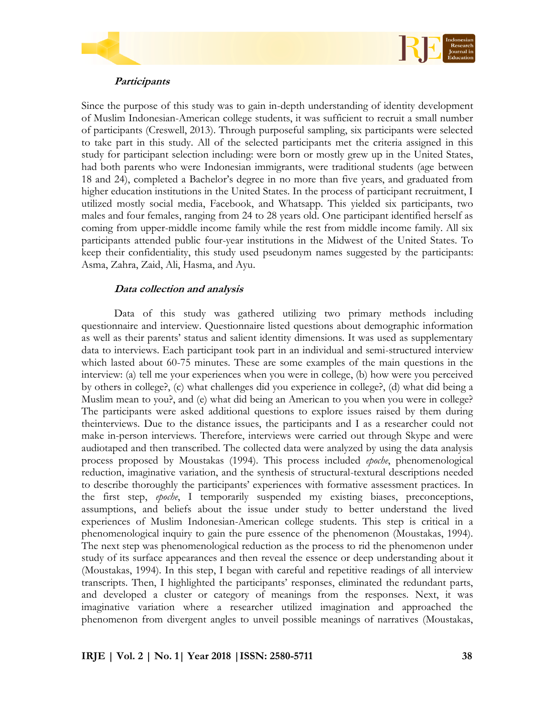



## **Participants**

Since the purpose of this study was to gain in-depth understanding of identity development of Muslim Indonesian-American college students, it was sufficient to recruit a small number of participants (Creswell, 2013). Through purposeful sampling, six participants were selected to take part in this study. All of the selected participants met the criteria assigned in this study for participant selection including: were born or mostly grew up in the United States, had both parents who were Indonesian immigrants, were traditional students (age between 18 and 24), completed a Bachelor's degree in no more than five years, and graduated from higher education institutions in the United States. In the process of participant recruitment, I utilized mostly social media, Facebook, and Whatsapp. This yielded six participants, two males and four females, ranging from 24 to 28 years old. One participant identified herself as coming from upper-middle income family while the rest from middle income family. All six participants attended public four-year institutions in the Midwest of the United States. To keep their confidentiality, this study used pseudonym names suggested by the participants: Asma, Zahra, Zaid, Ali, Hasma, and Ayu.

## **Data collection and analysis**

Data of this study was gathered utilizing two primary methods including questionnaire and interview. Questionnaire listed questions about demographic information as well as their parents' status and salient identity dimensions. It was used as supplementary data to interviews. Each participant took part in an individual and semi-structured interview which lasted about 60-75 minutes. These are some examples of the main questions in the interview: (a) tell me your experiences when you were in college, (b) how were you perceived by others in college?, (c) what challenges did you experience in college?, (d) what did being a Muslim mean to you?, and (e) what did being an American to you when you were in college? The participants were asked additional questions to explore issues raised by them during theinterviews. Due to the distance issues, the participants and I as a researcher could not make in-person interviews. Therefore, interviews were carried out through Skype and were audiotaped and then transcribed. The collected data were analyzed by using the data analysis process proposed by Moustakas (1994). This process included *epoche*, phenomenological reduction, imaginative variation, and the synthesis of structural-textural descriptions needed to describe thoroughly the participants' experiences with formative assessment practices. In the first step, *epoche*, I temporarily suspended my existing biases, preconceptions, assumptions, and beliefs about the issue under study to better understand the lived experiences of Muslim Indonesian-American college students. This step is critical in a phenomenological inquiry to gain the pure essence of the phenomenon (Moustakas, 1994). The next step was phenomenological reduction as the process to rid the phenomenon under study of its surface appearances and then reveal the essence or deep understanding about it (Moustakas, 1994). In this step, I began with careful and repetitive readings of all interview transcripts. Then, I highlighted the participants' responses, eliminated the redundant parts, and developed a cluster or category of meanings from the responses. Next, it was imaginative variation where a researcher utilized imagination and approached the phenomenon from divergent angles to unveil possible meanings of narratives (Moustakas,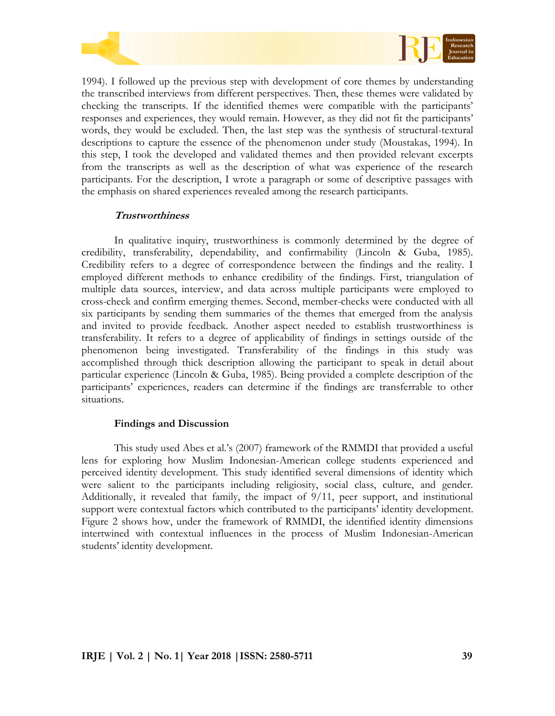



1994). I followed up the previous step with development of core themes by understanding the transcribed interviews from different perspectives. Then, these themes were validated by checking the transcripts. If the identified themes were compatible with the participants' responses and experiences, they would remain. However, as they did not fit the participants' words, they would be excluded. Then, the last step was the synthesis of structural-textural descriptions to capture the essence of the phenomenon under study (Moustakas, 1994). In this step, I took the developed and validated themes and then provided relevant excerpts from the transcripts as well as the description of what was experience of the research participants. For the description, I wrote a paragraph or some of descriptive passages with the emphasis on shared experiences revealed among the research participants.

## **Trustworthiness**

In qualitative inquiry, trustworthiness is commonly determined by the degree of credibility, transferability, dependability, and confirmability (Lincoln & Guba, 1985). Credibility refers to a degree of correspondence between the findings and the reality. I employed different methods to enhance credibility of the findings. First, triangulation of multiple data sources, interview, and data across multiple participants were employed to cross-check and confirm emerging themes. Second, member-checks were conducted with all six participants by sending them summaries of the themes that emerged from the analysis and invited to provide feedback. Another aspect needed to establish trustworthiness is transferability. It refers to a degree of applicability of findings in settings outside of the phenomenon being investigated. Transferability of the findings in this study was accomplished through thick description allowing the participant to speak in detail about particular experience (Lincoln & Guba, 1985). Being provided a complete description of the participants' experiences, readers can determine if the findings are transferrable to other situations.

## **Findings and Discussion**

This study used Abes et al.'s (2007) framework of the RMMDI that provided a useful lens for exploring how Muslim Indonesian-American college students experienced and perceived identity development. This study identified several dimensions of identity which were salient to the participants including religiosity, social class, culture, and gender. Additionally, it revealed that family, the impact of 9/11, peer support, and institutional support were contextual factors which contributed to the participants' identity development. Figure 2 shows how, under the framework of RMMDI, the identified identity dimensions intertwined with contextual influences in the process of Muslim Indonesian-American students' identity development.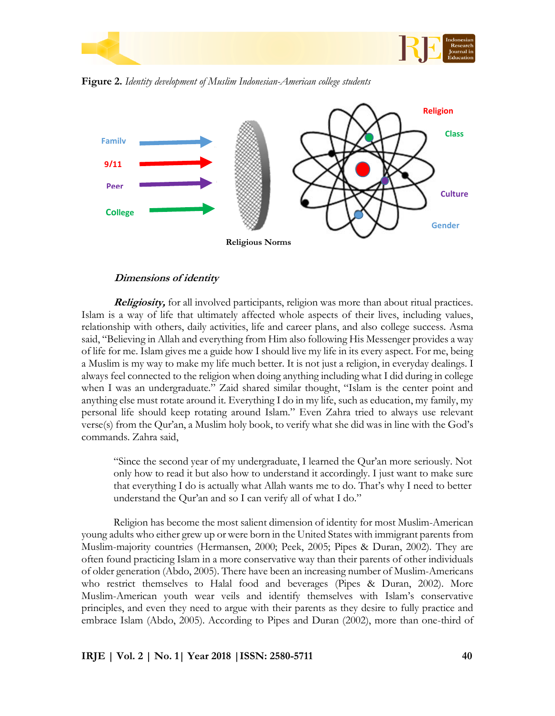

**Religion Gender Class Culture Family 9/11 Peer College Religious Norms**

**Figure 2.** *Identity development of Muslim Indonesian-American college students*

#### **Dimensions of identity**

**Religiosity,** for all involved participants, religion was more than about ritual practices. Islam is a way of life that ultimately affected whole aspects of their lives, including values, relationship with others, daily activities, life and career plans, and also college success. Asma said, "Believing in Allah and everything from Him also following His Messenger provides a way of life for me. Islam gives me a guide how I should live my life in its every aspect. For me, being a Muslim is my way to make my life much better. It is not just a religion, in everyday dealings. I always feel connected to the religion when doing anything including what I did during in college when I was an undergraduate." Zaid shared similar thought, "Islam is the center point and anything else must rotate around it. Everything I do in my life, such as education, my family, my personal life should keep rotating around Islam." Even Zahra tried to always use relevant verse(s) from the Qur'an, a Muslim holy book, to verify what she did was in line with the God's commands. Zahra said,

"Since the second year of my undergraduate, I learned the Qur'an more seriously. Not only how to read it but also how to understand it accordingly. I just want to make sure that everything I do is actually what Allah wants me to do. That's why I need to better understand the Qur'an and so I can verify all of what I do."

Religion has become the most salient dimension of identity for most Muslim-American young adults who either grew up or were born in the United States with immigrant parents from Muslim-majority countries (Hermansen, 2000; Peek, 2005; Pipes & Duran, 2002). They are often found practicing Islam in a more conservative way than their parents of other individuals of older generation (Abdo, 2005). There have been an increasing number of Muslim-Americans who restrict themselves to Halal food and beverages (Pipes & Duran, 2002). More Muslim-American youth wear veils and identify themselves with Islam's conservative principles, and even they need to argue with their parents as they desire to fully practice and embrace Islam (Abdo, 2005). According to Pipes and Duran (2002), more than one-third of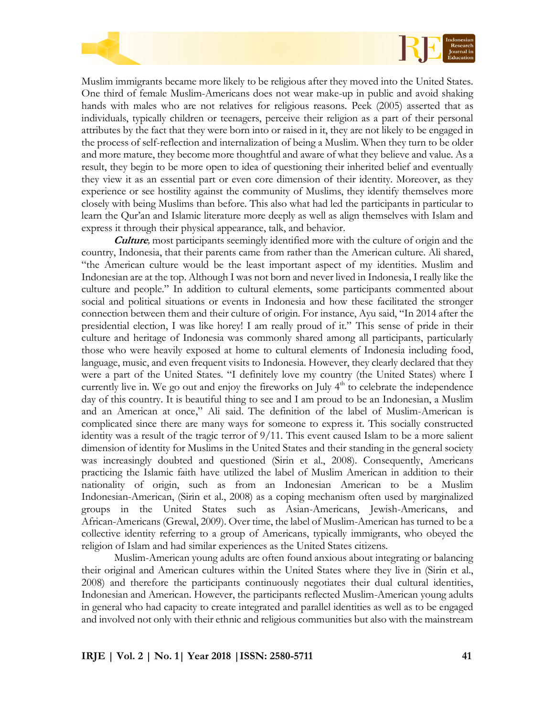

Muslim immigrants became more likely to be religious after they moved into the United States. One third of female Muslim-Americans does not wear make-up in public and avoid shaking hands with males who are not relatives for religious reasons. Peek (2005) asserted that as individuals, typically children or teenagers, perceive their religion as a part of their personal attributes by the fact that they were born into or raised in it, they are not likely to be engaged in the process of self-reflection and internalization of being a Muslim. When they turn to be older and more mature, they become more thoughtful and aware of what they believe and value. As a result, they begin to be more open to idea of questioning their inherited belief and eventually they view it as an essential part or even core dimension of their identity. Moreover, as they experience or see hostility against the community of Muslims, they identify themselves more closely with being Muslims than before. This also what had led the participants in particular to learn the Qur'an and Islamic literature more deeply as well as align themselves with Islam and express it through their physical appearance, talk, and behavior.

**Culture***,* most participants seemingly identified more with the culture of origin and the country, Indonesia, that their parents came from rather than the American culture. Ali shared, "the American culture would be the least important aspect of my identities. Muslim and Indonesian are at the top. Although I was not born and never lived in Indonesia, I really like the culture and people." In addition to cultural elements, some participants commented about social and political situations or events in Indonesia and how these facilitated the stronger connection between them and their culture of origin. For instance, Ayu said, "In 2014 after the presidential election, I was like horey! I am really proud of it." This sense of pride in their culture and heritage of Indonesia was commonly shared among all participants, particularly those who were heavily exposed at home to cultural elements of Indonesia including food, language, music, and even frequent visits to Indonesia. However, they clearly declared that they were a part of the United States. "I definitely love my country (the United States) where I currently live in. We go out and enjoy the fireworks on July  $4<sup>th</sup>$  to celebrate the independence day of this country. It is beautiful thing to see and I am proud to be an Indonesian, a Muslim and an American at once," Ali said. The definition of the label of Muslim-American is complicated since there are many ways for someone to express it. This socially constructed identity was a result of the tragic terror of 9/11. This event caused Islam to be a more salient dimension of identity for Muslims in the United States and their standing in the general society was increasingly doubted and questioned (Sirin et al., 2008). Consequently, Americans practicing the Islamic faith have utilized the label of Muslim American in addition to their nationality of origin, such as from an Indonesian American to be a Muslim Indonesian-American, (Sirin et al., 2008) as a coping mechanism often used by marginalized groups in the United States such as Asian-Americans, Jewish-Americans, and African-Americans (Grewal, 2009). Over time, the label of Muslim-American has turned to be a collective identity referring to a group of Americans, typically immigrants, who obeyed the religion of Islam and had similar experiences as the United States citizens.

Muslim-American young adults are often found anxious about integrating or balancing their original and American cultures within the United States where they live in (Sirin et al., 2008) and therefore the participants continuously negotiates their dual cultural identities, Indonesian and American. However, the participants reflected Muslim-American young adults in general who had capacity to create integrated and parallel identities as well as to be engaged and involved not only with their ethnic and religious communities but also with the mainstream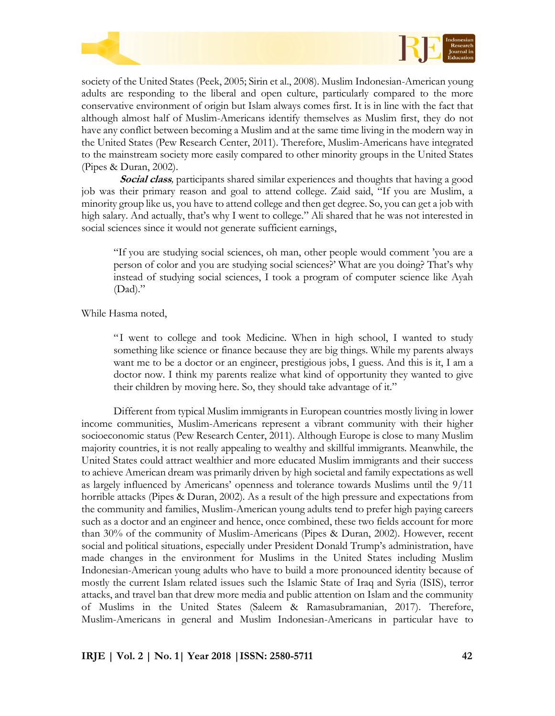



society of the United States (Peek, 2005; Sirin et al., 2008). Muslim Indonesian-American young adults are responding to the liberal and open culture, particularly compared to the more conservative environment of origin but Islam always comes first. It is in line with the fact that although almost half of Muslim-Americans identify themselves as Muslim first, they do not have any conflict between becoming a Muslim and at the same time living in the modern way in the United States (Pew Research Center, 2011). Therefore, Muslim-Americans have integrated to the mainstream society more easily compared to other minority groups in the United States (Pipes & Duran, 2002).

**Social class***,* participants shared similar experiences and thoughts that having a good job was their primary reason and goal to attend college. Zaid said, "If you are Muslim, a minority group like us, you have to attend college and then get degree. So, you can get a job with high salary. And actually, that's why I went to college." Ali shared that he was not interested in social sciences since it would not generate sufficient earnings,

"If you are studying social sciences, oh man, other people would comment 'you are a person of color and you are studying social sciences?' What are you doing? That's why instead of studying social sciences, I took a program of computer science like Ayah (Dad)."

While Hasma noted,

"I went to college and took Medicine. When in high school, I wanted to study something like science or finance because they are big things. While my parents always want me to be a doctor or an engineer, prestigious jobs, I guess. And this is it, I am a doctor now. I think my parents realize what kind of opportunity they wanted to give their children by moving here. So, they should take advantage of it."

Different from typical Muslim immigrants in European countries mostly living in lower income communities, Muslim-Americans represent a vibrant community with their higher socioeconomic status (Pew Research Center, 2011). Although Europe is close to many Muslim majority countries, it is not really appealing to wealthy and skillful immigrants. Meanwhile, the United States could attract wealthier and more educated Muslim immigrants and their success to achieve American dream was primarily driven by high societal and family expectations as well as largely influenced by Americans' openness and tolerance towards Muslims until the 9/11 horrible attacks (Pipes & Duran, 2002). As a result of the high pressure and expectations from the community and families, Muslim-American young adults tend to prefer high paying careers such as a doctor and an engineer and hence, once combined, these two fields account for more than 30% of the community of Muslim-Americans (Pipes & Duran, 2002). However, recent social and political situations, especially under President Donald Trump's administration, have made changes in the environment for Muslims in the United States including Muslim Indonesian-American young adults who have to build a more pronounced identity because of mostly the current Islam related issues such the Islamic State of Iraq and Syria (ISIS), terror attacks, and travel ban that drew more media and public attention on Islam and the community of Muslims in the United States (Saleem & Ramasubramanian, 2017). Therefore, Muslim-Americans in general and Muslim Indonesian-Americans in particular have to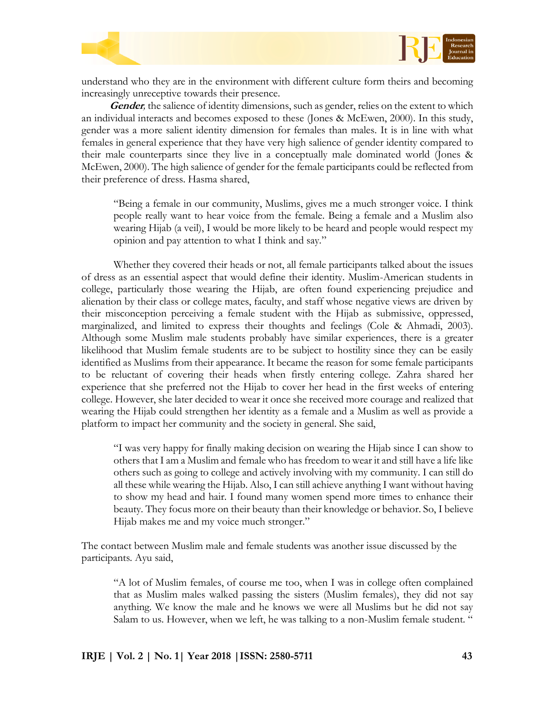



understand who they are in the environment with different culture form theirs and becoming increasingly unreceptive towards their presence.

**Gender***,* the salience of identity dimensions, such as gender, relies on the extent to which an individual interacts and becomes exposed to these (Jones & McEwen, 2000). In this study, gender was a more salient identity dimension for females than males. It is in line with what females in general experience that they have very high salience of gender identity compared to their male counterparts since they live in a conceptually male dominated world (Jones & McEwen, 2000). The high salience of gender for the female participants could be reflected from their preference of dress. Hasma shared,

"Being a female in our community, Muslims, gives me a much stronger voice. I think people really want to hear voice from the female. Being a female and a Muslim also wearing Hijab (a veil), I would be more likely to be heard and people would respect my opinion and pay attention to what I think and say."

Whether they covered their heads or not, all female participants talked about the issues of dress as an essential aspect that would define their identity. Muslim-American students in college, particularly those wearing the Hijab, are often found experiencing prejudice and alienation by their class or college mates, faculty, and staff whose negative views are driven by their misconception perceiving a female student with the Hijab as submissive, oppressed, marginalized, and limited to express their thoughts and feelings (Cole & Ahmadi, 2003). Although some Muslim male students probably have similar experiences, there is a greater likelihood that Muslim female students are to be subject to hostility since they can be easily identified as Muslims from their appearance. It became the reason for some female participants to be reluctant of covering their heads when firstly entering college. Zahra shared her experience that she preferred not the Hijab to cover her head in the first weeks of entering college. However, she later decided to wear it once she received more courage and realized that wearing the Hijab could strengthen her identity as a female and a Muslim as well as provide a platform to impact her community and the society in general. She said,

"I was very happy for finally making decision on wearing the Hijab since I can show to others that I am a Muslim and female who has freedom to wear it and still have a life like others such as going to college and actively involving with my community. I can still do all these while wearing the Hijab. Also, I can still achieve anything I want without having to show my head and hair. I found many women spend more times to enhance their beauty. They focus more on their beauty than their knowledge or behavior. So, I believe Hijab makes me and my voice much stronger."

The contact between Muslim male and female students was another issue discussed by the participants. Ayu said,

"A lot of Muslim females, of course me too, when I was in college often complained that as Muslim males walked passing the sisters (Muslim females), they did not say anything. We know the male and he knows we were all Muslims but he did not say Salam to us. However, when we left, he was talking to a non-Muslim female student. "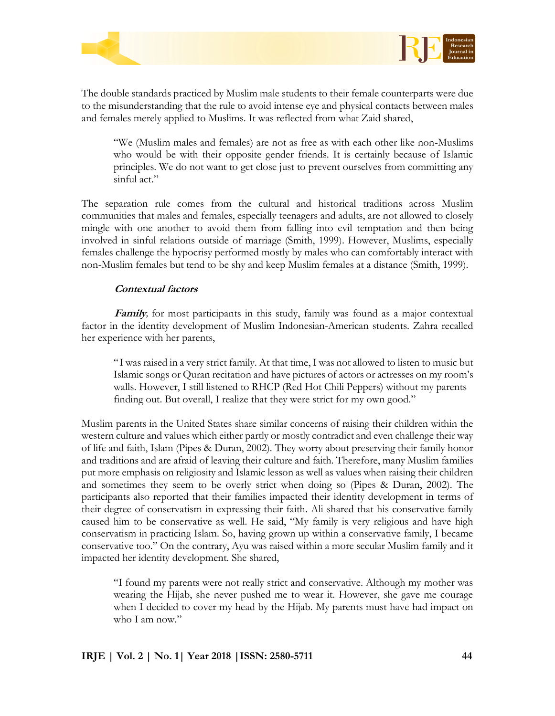



The double standards practiced by Muslim male students to their female counterparts were due to the misunderstanding that the rule to avoid intense eye and physical contacts between males and females merely applied to Muslims. It was reflected from what Zaid shared,

"We (Muslim males and females) are not as free as with each other like non-Muslims who would be with their opposite gender friends. It is certainly because of Islamic principles. We do not want to get close just to prevent ourselves from committing any sinful act."

The separation rule comes from the cultural and historical traditions across Muslim communities that males and females, especially teenagers and adults, are not allowed to closely mingle with one another to avoid them from falling into evil temptation and then being involved in sinful relations outside of marriage (Smith, 1999). However, Muslims, especially females challenge the hypocrisy performed mostly by males who can comfortably interact with non-Muslim females but tend to be shy and keep Muslim females at a distance (Smith, 1999).

## **Contextual factors**

**Family***,* for most participants in this study, family was found as a major contextual factor in the identity development of Muslim Indonesian-American students. Zahra recalled her experience with her parents,

"I was raised in a very strict family. At that time, I was not allowed to listen to music but Islamic songs or Quran recitation and have pictures of actors or actresses on my room's walls. However, I still listened to RHCP (Red Hot Chili Peppers) without my parents finding out. But overall, I realize that they were strict for my own good."

Muslim parents in the United States share similar concerns of raising their children within the western culture and values which either partly or mostly contradict and even challenge their way of life and faith, Islam (Pipes & Duran, 2002). They worry about preserving their family honor and traditions and are afraid of leaving their culture and faith. Therefore, many Muslim families put more emphasis on religiosity and Islamic lesson as well as values when raising their children and sometimes they seem to be overly strict when doing so (Pipes & Duran, 2002). The participants also reported that their families impacted their identity development in terms of their degree of conservatism in expressing their faith. Ali shared that his conservative family caused him to be conservative as well. He said, "My family is very religious and have high conservatism in practicing Islam. So, having grown up within a conservative family, I became conservative too." On the contrary, Ayu was raised within a more secular Muslim family and it impacted her identity development. She shared,

"I found my parents were not really strict and conservative. Although my mother was wearing the Hijab, she never pushed me to wear it. However, she gave me courage when I decided to cover my head by the Hijab. My parents must have had impact on who I am now"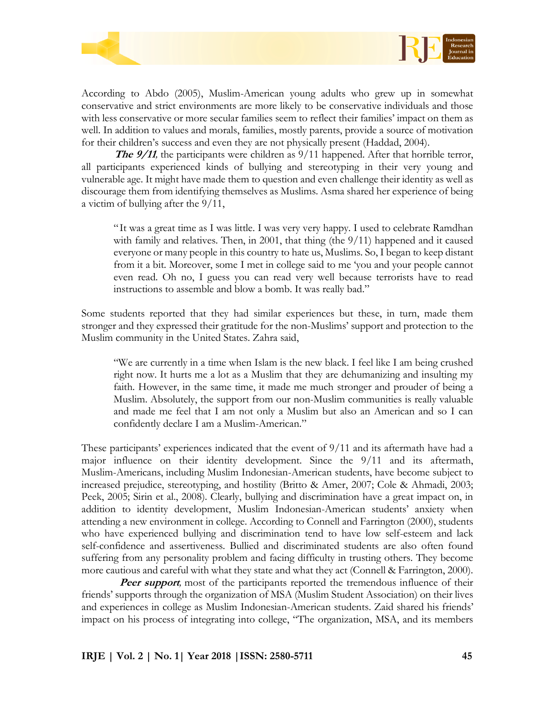



According to Abdo (2005), Muslim-American young adults who grew up in somewhat conservative and strict environments are more likely to be conservative individuals and those with less conservative or more secular families seem to reflect their families' impact on them as well. In addition to values and morals, families, mostly parents, provide a source of motivation for their children's success and even they are not physically present (Haddad, 2004).

**The 9/11**, the participants were children as 9/11 happened. After that horrible terror, all participants experienced kinds of bullying and stereotyping in their very young and vulnerable age. It might have made them to question and even challenge their identity as well as discourage them from identifying themselves as Muslims. Asma shared her experience of being a victim of bullying after the 9/11,

"It was a great time as I was little. I was very very happy. I used to celebrate Ramdhan with family and relatives. Then, in 2001, that thing (the 9/11) happened and it caused everyone or many people in this country to hate us, Muslims. So, I began to keep distant from it a bit. Moreover, some I met in college said to me 'you and your people cannot even read. Oh no, I guess you can read very well because terrorists have to read instructions to assemble and blow a bomb. It was really bad."

Some students reported that they had similar experiences but these, in turn, made them stronger and they expressed their gratitude for the non-Muslims' support and protection to the Muslim community in the United States. Zahra said,

"We are currently in a time when Islam is the new black. I feel like I am being crushed right now. It hurts me a lot as a Muslim that they are dehumanizing and insulting my faith. However, in the same time, it made me much stronger and prouder of being a Muslim. Absolutely, the support from our non-Muslim communities is really valuable and made me feel that I am not only a Muslim but also an American and so I can confidently declare I am a Muslim-American."

These participants' experiences indicated that the event of 9/11 and its aftermath have had a major influence on their identity development. Since the 9/11 and its aftermath, Muslim-Americans, including Muslim Indonesian-American students, have become subject to increased prejudice, stereotyping, and hostility (Britto & Amer, 2007; Cole & Ahmadi, 2003; Peek, 2005; Sirin et al., 2008). Clearly, bullying and discrimination have a great impact on, in addition to identity development, Muslim Indonesian-American students' anxiety when attending a new environment in college. According to Connell and Farrington (2000), students who have experienced bullying and discrimination tend to have low self-esteem and lack self-confidence and assertiveness. Bullied and discriminated students are also often found suffering from any personality problem and facing difficulty in trusting others. They become more cautious and careful with what they state and what they act (Connell & Farrington, 2000).

**Peer support**, most of the participants reported the tremendous influence of their friends' supports through the organization of MSA (Muslim Student Association) on their lives and experiences in college as Muslim Indonesian-American students. Zaid shared his friends' impact on his process of integrating into college, "The organization, MSA, and its members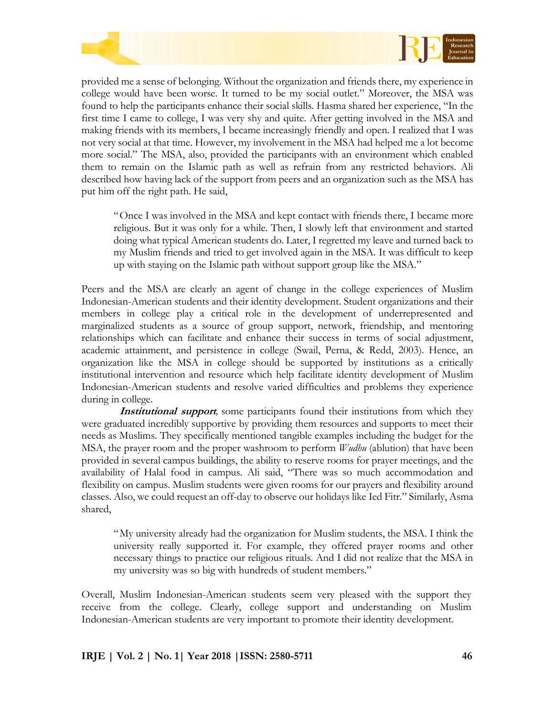



provided me a sense of belonging. Without the organization and friends there, my experience in college would have been worse. It turned to be my social outlet." Moreover, the MSA was found to help the participants enhance their social skills. Hasma shared her experience, "In the first time I came to college, I was very shy and quite. After getting involved in the MSA and making friends with its members, I became increasingly friendly and open. I realized that I was not very social at that time. However, my involvement in the MSA had helped me a lot become more social." The MSA, also, provided the participants with an environment which enabled them to remain on the Islamic path as well as refrain from any restricted behaviors. Ali described how having lack of the support from peers and an organization such as the MSA has put him off the right path. He said,

"Once I was involved in the MSA and kept contact with friends there, I became more religious. But it was only for a while. Then, I slowly left that environment and started doing what typical American students do. Later, I regretted my leave and turned back to my Muslim friends and tried to get involved again in the MSA. It was difficult to keep up with staying on the Islamic path without support group like the MSA."

Peers and the MSA are clearly an agent of change in the college experiences of Muslim Indonesian-American students and their identity development. Student organizations and their members in college play a critical role in the development of underrepresented and marginalized students as a source of group support, network, friendship, and mentoring relationships which can facilitate and enhance their success in terms of social adjustment, academic attainment, and persistence in college (Swail, Perna, & Redd, 2003). Hence, an organization like the MSA in college should be supported by institutions as a critically institutional intervention and resource which help facilitate identity development of Muslim Indonesian-American students and resolve varied difficulties and problems they experience during in college.

**Institutional support***,* some participants found their institutions from which they were graduated incredibly supportive by providing them resources and supports to meet their needs as Muslims. They specifically mentioned tangible examples including the budget for the MSA, the prayer room and the proper washroom to perform *Wudhu* (ablution) that have been provided in several campus buildings, the ability to reserve rooms for prayer meetings, and the availability of Halal food in campus. Ali said, "There was so much accommodation and flexibility on campus. Muslim students were given rooms for our prayers and flexibility around classes. Also, we could request an off-day to observe our holidays like Ied Fitr." Similarly, Asma shared,

"My university already had the organization for Muslim students, the MSA. I think the university really supported it. For example, they offered prayer rooms and other necessary things to practice our religious rituals. And I did not realize that the MSA in my university was so big with hundreds of student members."

Overall, Muslim Indonesian-American students seem very pleased with the support they receive from the college. Clearly, college support and understanding on Muslim Indonesian-American students are very important to promote their identity development.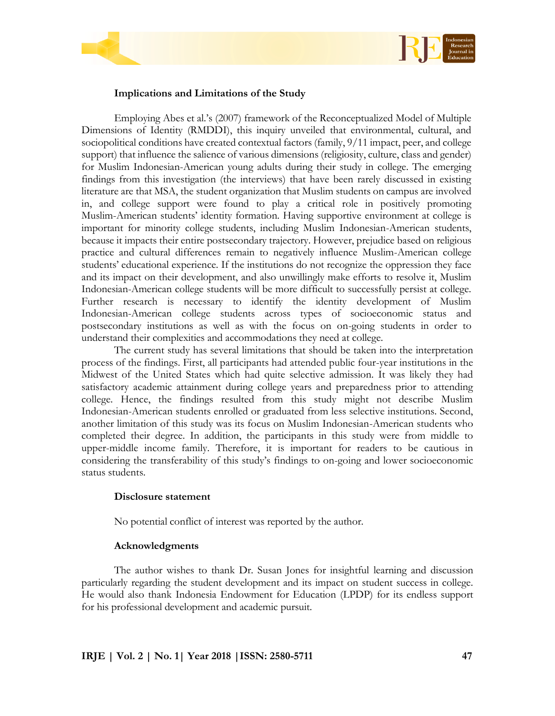



## **Implications and Limitations of the Study**

Employing Abes et al.'s (2007) framework of the Reconceptualized Model of Multiple Dimensions of Identity (RMDDI), this inquiry unveiled that environmental, cultural, and sociopolitical conditions have created contextual factors (family, 9/11 impact, peer, and college support) that influence the salience of various dimensions (religiosity, culture, class and gender) for Muslim Indonesian-American young adults during their study in college. The emerging findings from this investigation (the interviews) that have been rarely discussed in existing literature are that MSA, the student organization that Muslim students on campus are involved in, and college support were found to play a critical role in positively promoting Muslim-American students' identity formation. Having supportive environment at college is important for minority college students, including Muslim Indonesian-American students, because it impacts their entire postsecondary trajectory. However, prejudice based on religious practice and cultural differences remain to negatively influence Muslim-American college students' educational experience. If the institutions do not recognize the oppression they face and its impact on their development, and also unwillingly make efforts to resolve it, Muslim Indonesian-American college students will be more difficult to successfully persist at college. Further research is necessary to identify the identity development of Muslim Indonesian-American college students across types of socioeconomic status and postsecondary institutions as well as with the focus on on-going students in order to understand their complexities and accommodations they need at college.

The current study has several limitations that should be taken into the interpretation process of the findings. First, all participants had attended public four-year institutions in the Midwest of the United States which had quite selective admission. It was likely they had satisfactory academic attainment during college years and preparedness prior to attending college. Hence, the findings resulted from this study might not describe Muslim Indonesian-American students enrolled or graduated from less selective institutions. Second, another limitation of this study was its focus on Muslim Indonesian-American students who completed their degree. In addition, the participants in this study were from middle to upper-middle income family. Therefore, it is important for readers to be cautious in considering the transferability of this study's findings to on-going and lower socioeconomic status students.

## **Disclosure statement**

No potential conflict of interest was reported by the author.

# **Acknowledgments**

The author wishes to thank Dr. Susan Jones for insightful learning and discussion particularly regarding the student development and its impact on student success in college. He would also thank Indonesia Endowment for Education (LPDP) for its endless support for his professional development and academic pursuit.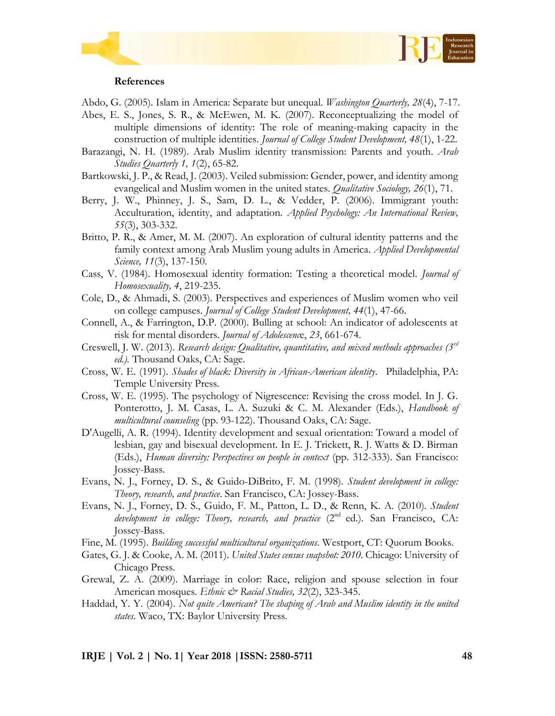



#### **References**

Abdo, G. (2005). Islam in America: Separate but unequal. *Washington Quarterly, 28*(4), 7-17.

- Abes, E. S., Jones, S. R., & McEwen, M. K. (2007). Reconceptualizing the model of multiple dimensions of identity: The role of meaning-making capacity in the construction of multiple identities. *Journal of College Student Development, 48*(1), 1-22.
- Barazangi, N. H. (1989). Arab Muslim identity transmission: Parents and youth. *Arab Studies Quarterly 1, 1*(2), 65-82.
- Bartkowski, J. P., & Read, J. (2003). Veiled submission: Gender, power, and identity among evangelical and Muslim women in the united states. *Qualitative Sociology, 26*(1), 71.
- Berry, J. W., Phinney, J. S., Sam, D. L., & Vedder, P. (2006). Immigrant youth: Acculturation, identity, and adaptation. *Applied Psychology: An International Review, 55*(3), 303-332.
- Britto, P. R., & Amer, M. M. (2007). An exploration of cultural identity patterns and the family context among Arab Muslim young adults in America. *Applied Developmental Science, 11*(3), 137-150.
- Cass, V. (1984). Homosexual identity formation: Testing a theoretical model. *Journal of Homosexuality, 4*, 219-235.
- Cole, D., & Ahmadi, S. (2003). Perspectives and experiences of Muslim women who veil on college campuses. *Journal of College Student Development, 44*(1), 47-66.
- Connell, A., & Farrington, D.P. (2000). Bulling at school: An indicator of adolescents at risk for mental disorders. *Journal of Adolescenc*e, *23*, 661-674.
- Creswell, J. W. (2013). *Research design: Qualitative, quantitative, and mixed methods approaches (3rd ed.).* Thousand Oaks, CA: Sage.
- Cross, W. E. (1991). *Shades of black: Diversity in African-American identity*. Philadelphia, PA: Temple University Press.
- Cross, W. E. (1995). The psychology of Nigrescence: Revising the cross model. In J. G. Ponterotto, J. M. Casas, L. A. Suzuki & C. M. Alexander (Eds.), *Handbook of multicultural counseling* (pp. 93-122). Thousand Oaks, CA: Sage.
- D'Augelli, A. R. (1994). Identity development and sexual orientation: Toward a model of lesbian, gay and bisexual development. In E. J. Trickett, R. J. Watts & D. Birman (Eds.), *Human diversity: Perspectives on people in context* (pp. 312-333). San Francisco: Jossey-Bass.
- Evans, N. J., Forney, D. S., & Guido-DiBrito, F. M. (1998). *Student development in college: Theory, research, and practice*. San Francisco, CA: Jossey-Bass.
- Evans, N. J., Forney, D. S., Guido, F. M., Patton, L. D., & Renn, K. A. (2010). *Student development in college: Theory, research, and practice* (2<sup>nd</sup> ed.). San Francisco, CA: Jossey-Bass.
- Fine, M. (1995). *Building successful multicultural organizations*. Westport, CT: Quorum Books.
- Gates, G. J. & Cooke, A. M. (2011). *United States census snapshot: 2010*. Chicago: University of Chicago Press.
- Grewal, Z. A. (2009). Marriage in color: Race, religion and spouse selection in four American mosques. *Ethnic & Racial Studies*, 32(2), 323-345.
- Haddad, Y. Y. (2004). *Not quite American? The shaping of Arab and Muslim identity in the united states.* Waco, TX: Baylor University Press.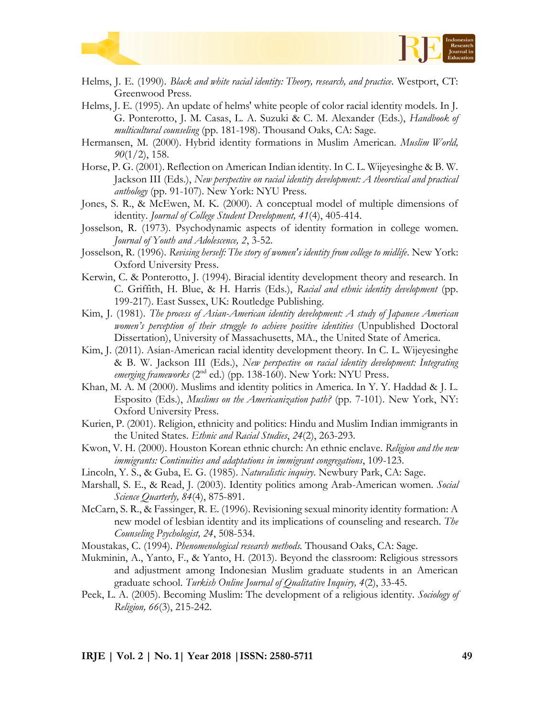



- Helms, J. E. (1990). *Black and white racial identity: Theory, research, and practice*. Westport, CT: Greenwood Press.
- Helms, J. E. (1995). An update of helms' white people of color racial identity models. In J. G. Ponterotto, J. M. Casas, L. A. Suzuki & C. M. Alexander (Eds.), *Handbook of multicultural counseling* (pp. 181-198). Thousand Oaks, CA: Sage.
- Hermansen, M. (2000). Hybrid identity formations in Muslim American. *Muslim World, 90*(1/2), 158.
- Horse, P. G. (2001). Reflection on American Indian identity. In C. L. Wijeyesinghe & B. W. Jackson III (Eds.), *New perspective on racial identity development: A theoretical and practical anthology* (pp. 91-107). New York: NYU Press.
- Jones, S. R., & McEwen, M. K. (2000). A conceptual model of multiple dimensions of identity. *Journal of College Student Development, 41*(4), 405-414.
- Josselson, R. (1973). Psychodynamic aspects of identity formation in college women. *Journal of Youth and Adolescence, 2*, 3-52.
- Josselson, R. (1996). *Revising herself: The story of women's identity from college to midlife*. New York: Oxford University Press.
- Kerwin, C. & Ponterotto, J. (1994). Biracial identity development theory and research. In C. Griffith, H. Blue, & H. Harris (Eds.), *Racial and ethnic identity development* (pp. 199-217). East Sussex, UK: Routledge Publishing.
- Kim, J. (1981). *The process of Asian-American identity development: A study of Japanese American women's perception of their struggle to achieve positive identities* (Unpublished Doctoral Dissertation), University of Massachusetts, MA., the United State of America.
- Kim, J. (2011). Asian-American racial identity development theory. In C. L. Wijeyesinghe & B. W. Jackson III (Eds.), *New perspective on racial identity development: Integrating emerging frameworks* (2<sup>nd</sup> ed.) (pp. 138-160). New York: NYU Press.
- Khan, M. A. M (2000). Muslims and identity politics in America. In Y. Y. Haddad & J. L. Esposito (Eds.), *Muslims on the Americanization path?* (pp. 7-101). New York, NY: Oxford University Press.
- Kurien, P. (2001). Religion, ethnicity and politics: Hindu and Muslim Indian immigrants in the United States. *Ethnic and Racial Studies*, *24*(2), 263-293.
- Kwon, V. H. (2000). Houston Korean ethnic church: An ethnic enclave. *Religion and the new immigrants: Continuities and adaptations in immigrant congregations*, 109-123.
- Lincoln, Y. S., & Guba, E. G. (1985). *Naturalistic inquiry*. Newbury Park, CA: Sage.
- Marshall, S. E., & Read, J. (2003). Identity politics among Arab-American women. *Social Science Quarterly, 84*(4), 875-891.
- McCarn, S. R., & Fassinger, R. E. (1996). Revisioning sexual minority identity formation: A new model of lesbian identity and its implications of counseling and research. *The Counseling Psychologist, 24*, 508-534.
- Moustakas, C. (1994). *Phenomenological research methods.* Thousand Oaks, CA: Sage.
- Mukminin, A., Yanto, F., & Yanto, H. (2013). Beyond the classroom: Religious stressors and adjustment among Indonesian Muslim graduate students in an American graduate school. *Turkish Online Journal of Qualitative Inquiry, 4*(2), 33-45.
- Peek, L. A. (2005). Becoming Muslim: The development of a religious identity. *Sociology of Religion, 66*(3), 215-242.